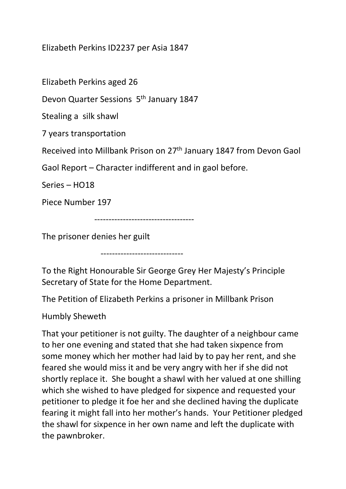Elizabeth Perkins ID2237 per Asia 1847

Elizabeth Perkins aged 26

Devon Quarter Sessions 5th January 1847

Stealing a silk shawl

7 years transportation

Received into Millbank Prison on 27th January 1847 from Devon Gaol

Gaol Report – Character indifferent and in gaol before.

Series – HO18

Piece Number 197

-----------------------------------

The prisoner denies her guilt

-----------------------------

To the Right Honourable Sir George Grey Her Majesty's Principle Secretary of State for the Home Department.

The Petition of Elizabeth Perkins a prisoner in Millbank Prison

Humbly Sheweth

That your petitioner is not guilty. The daughter of a neighbour came to her one evening and stated that she had taken sixpence from some money which her mother had laid by to pay her rent, and she feared she would miss it and be very angry with her if she did not shortly replace it. She bought a shawl with her valued at one shilling which she wished to have pledged for sixpence and requested your petitioner to pledge it foe her and she declined having the duplicate fearing it might fall into her mother's hands. Your Petitioner pledged the shawl for sixpence in her own name and left the duplicate with the pawnbroker.